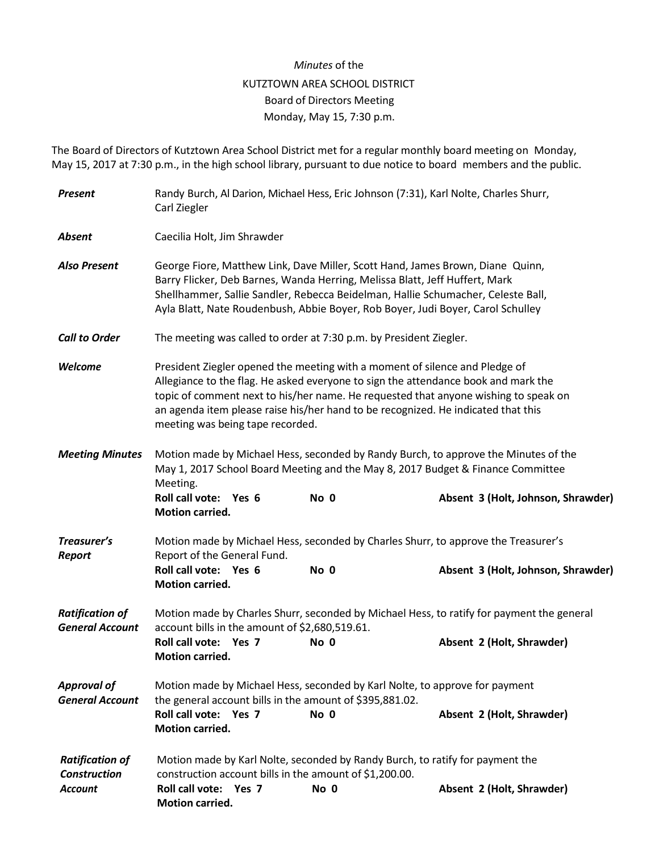## *Minutes* of the KUTZTOWN AREA SCHOOL DISTRICT Board of Directors Meeting Monday, May 15, 7:30 p.m.

The Board of Directors of Kutztown Area School District met for a regular monthly board meeting on Monday, May 15, 2017 at 7:30 p.m., in the high school library, pursuant to due notice to board members and the public.

| <b>Present</b>                                                  | Randy Burch, Al Darion, Michael Hess, Eric Johnson (7:31), Karl Nolte, Charles Shurr,<br>Carl Ziegler                                                                                                                                                                                                                                                                             |      |                                                                                                                           |  |  |
|-----------------------------------------------------------------|-----------------------------------------------------------------------------------------------------------------------------------------------------------------------------------------------------------------------------------------------------------------------------------------------------------------------------------------------------------------------------------|------|---------------------------------------------------------------------------------------------------------------------------|--|--|
| <b>Absent</b>                                                   | Caecilia Holt, Jim Shrawder                                                                                                                                                                                                                                                                                                                                                       |      |                                                                                                                           |  |  |
| <b>Also Present</b>                                             | George Fiore, Matthew Link, Dave Miller, Scott Hand, James Brown, Diane Quinn,<br>Barry Flicker, Deb Barnes, Wanda Herring, Melissa Blatt, Jeff Huffert, Mark<br>Shellhammer, Sallie Sandler, Rebecca Beidelman, Hallie Schumacher, Celeste Ball,<br>Ayla Blatt, Nate Roudenbush, Abbie Boyer, Rob Boyer, Judi Boyer, Carol Schulley                                              |      |                                                                                                                           |  |  |
| <b>Call to Order</b>                                            | The meeting was called to order at 7:30 p.m. by President Ziegler.                                                                                                                                                                                                                                                                                                                |      |                                                                                                                           |  |  |
| Welcome                                                         | President Ziegler opened the meeting with a moment of silence and Pledge of<br>Allegiance to the flag. He asked everyone to sign the attendance book and mark the<br>topic of comment next to his/her name. He requested that anyone wishing to speak on<br>an agenda item please raise his/her hand to be recognized. He indicated that this<br>meeting was being tape recorded. |      |                                                                                                                           |  |  |
| <b>Meeting Minutes</b>                                          | May 1, 2017 School Board Meeting and the May 8, 2017 Budget & Finance Committee<br>Meeting.<br>Roll call vote: Yes 6<br>Motion carried.                                                                                                                                                                                                                                           | No 0 | Motion made by Michael Hess, seconded by Randy Burch, to approve the Minutes of the<br>Absent 3 (Holt, Johnson, Shrawder) |  |  |
| Treasurer's<br>Report                                           | Motion made by Michael Hess, seconded by Charles Shurr, to approve the Treasurer's<br>Report of the General Fund.                                                                                                                                                                                                                                                                 |      |                                                                                                                           |  |  |
|                                                                 | Roll call vote: Yes 6<br><b>Motion carried.</b>                                                                                                                                                                                                                                                                                                                                   | No 0 | Absent 3 (Holt, Johnson, Shrawder)                                                                                        |  |  |
| <b>Ratification of</b><br><b>General Account</b>                | account bills in the amount of \$2,680,519.61.                                                                                                                                                                                                                                                                                                                                    |      | Motion made by Charles Shurr, seconded by Michael Hess, to ratify for payment the general                                 |  |  |
|                                                                 | Roll call vote: Yes 7<br><b>Motion carried.</b>                                                                                                                                                                                                                                                                                                                                   | No 0 | Absent 2 (Holt, Shrawder)                                                                                                 |  |  |
| <b>Approval of</b><br><b>General Account</b>                    | Motion made by Michael Hess, seconded by Karl Nolte, to approve for payment<br>the general account bills in the amount of \$395,881.02.                                                                                                                                                                                                                                           |      |                                                                                                                           |  |  |
|                                                                 | Roll call vote: Yes 7<br><b>Motion carried.</b>                                                                                                                                                                                                                                                                                                                                   | No 0 | Absent 2 (Holt, Shrawder)                                                                                                 |  |  |
| <b>Ratification of</b><br><b>Construction</b><br><b>Account</b> | Motion made by Karl Nolte, seconded by Randy Burch, to ratify for payment the<br>construction account bills in the amount of \$1,200.00.<br>Roll call vote: Yes 7                                                                                                                                                                                                                 | No 0 | Absent 2 (Holt, Shrawder)                                                                                                 |  |  |
|                                                                 | Motion carried.                                                                                                                                                                                                                                                                                                                                                                   |      |                                                                                                                           |  |  |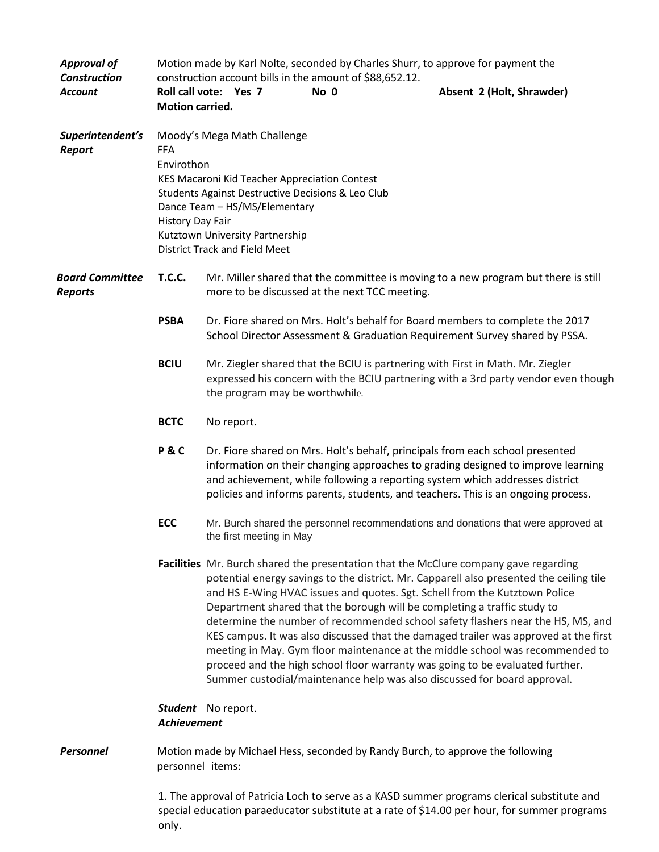| <b>Approval of</b><br><b>Construction</b> | Motion made by Karl Nolte, seconded by Charles Shurr, to approve for payment the<br>construction account bills in the amount of \$88,652.12. |                                                                                                                                                                                                                                                                                                                                                                                                                                                                                                                                                                                                                                                                                                                                                                    |                          |      |                                                                                    |
|-------------------------------------------|----------------------------------------------------------------------------------------------------------------------------------------------|--------------------------------------------------------------------------------------------------------------------------------------------------------------------------------------------------------------------------------------------------------------------------------------------------------------------------------------------------------------------------------------------------------------------------------------------------------------------------------------------------------------------------------------------------------------------------------------------------------------------------------------------------------------------------------------------------------------------------------------------------------------------|--------------------------|------|------------------------------------------------------------------------------------|
| <b>Account</b>                            | Roll call vote: Yes 7<br><b>Motion carried.</b>                                                                                              |                                                                                                                                                                                                                                                                                                                                                                                                                                                                                                                                                                                                                                                                                                                                                                    |                          | No 0 | Absent 2 (Holt, Shrawder)                                                          |
| Superintendent's<br><b>Report</b>         | <b>FFA</b><br>Envirothon                                                                                                                     | Moody's Mega Math Challenge<br>KES Macaroni Kid Teacher Appreciation Contest<br>Students Against Destructive Decisions & Leo Club<br>Dance Team - HS/MS/Elementary<br><b>History Day Fair</b><br>Kutztown University Partnership<br><b>District Track and Field Meet</b>                                                                                                                                                                                                                                                                                                                                                                                                                                                                                           |                          |      |                                                                                    |
| <b>Board Committee</b><br><b>Reports</b>  | <b>T.C.C.</b>                                                                                                                                | Mr. Miller shared that the committee is moving to a new program but there is still<br>more to be discussed at the next TCC meeting.                                                                                                                                                                                                                                                                                                                                                                                                                                                                                                                                                                                                                                |                          |      |                                                                                    |
|                                           | <b>PSBA</b>                                                                                                                                  | Dr. Fiore shared on Mrs. Holt's behalf for Board members to complete the 2017<br>School Director Assessment & Graduation Requirement Survey shared by PSSA.                                                                                                                                                                                                                                                                                                                                                                                                                                                                                                                                                                                                        |                          |      |                                                                                    |
|                                           | <b>BCIU</b>                                                                                                                                  | Mr. Ziegler shared that the BCIU is partnering with First in Math. Mr. Ziegler<br>expressed his concern with the BCIU partnering with a 3rd party vendor even though<br>the program may be worthwhile.                                                                                                                                                                                                                                                                                                                                                                                                                                                                                                                                                             |                          |      |                                                                                    |
|                                           | <b>BCTC</b>                                                                                                                                  | No report.                                                                                                                                                                                                                                                                                                                                                                                                                                                                                                                                                                                                                                                                                                                                                         |                          |      |                                                                                    |
|                                           | <b>P&amp;C</b>                                                                                                                               | Dr. Fiore shared on Mrs. Holt's behalf, principals from each school presented<br>information on their changing approaches to grading designed to improve learning<br>and achievement, while following a reporting system which addresses district<br>policies and informs parents, students, and teachers. This is an ongoing process.                                                                                                                                                                                                                                                                                                                                                                                                                             |                          |      |                                                                                    |
|                                           | <b>ECC</b>                                                                                                                                   |                                                                                                                                                                                                                                                                                                                                                                                                                                                                                                                                                                                                                                                                                                                                                                    | the first meeting in May |      | Mr. Burch shared the personnel recommendations and donations that were approved at |
|                                           |                                                                                                                                              | Facilities Mr. Burch shared the presentation that the McClure company gave regarding<br>potential energy savings to the district. Mr. Capparell also presented the ceiling tile<br>and HS E-Wing HVAC issues and quotes. Sgt. Schell from the Kutztown Police<br>Department shared that the borough will be completing a traffic study to<br>determine the number of recommended school safety flashers near the HS, MS, and<br>KES campus. It was also discussed that the damaged trailer was approved at the first<br>meeting in May. Gym floor maintenance at the middle school was recommended to<br>proceed and the high school floor warranty was going to be evaluated further.<br>Summer custodial/maintenance help was also discussed for board approval. |                          |      |                                                                                    |
|                                           | Student No report.<br><b>Achievement</b>                                                                                                     |                                                                                                                                                                                                                                                                                                                                                                                                                                                                                                                                                                                                                                                                                                                                                                    |                          |      |                                                                                    |
| <b>Personnel</b>                          | Motion made by Michael Hess, seconded by Randy Burch, to approve the following<br>personnel items:                                           |                                                                                                                                                                                                                                                                                                                                                                                                                                                                                                                                                                                                                                                                                                                                                                    |                          |      |                                                                                    |
|                                           | 1. The approval of Patricia Loch to serve as a KASD summer programs clerical substitute and                                                  |                                                                                                                                                                                                                                                                                                                                                                                                                                                                                                                                                                                                                                                                                                                                                                    |                          |      |                                                                                    |

special education paraeducator substitute at a rate of \$14.00 per hour, for summer programs only.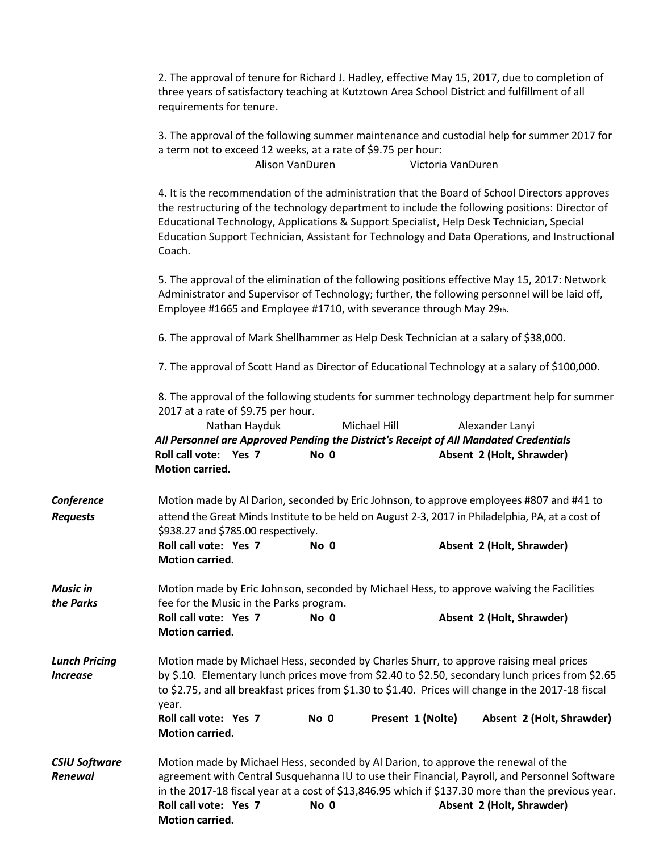2. The approval of tenure for Richard J. Hadley, effective May 15, 2017, due to completion of three years of satisfactory teaching at Kutztown Area School District and fulfillment of all requirements for tenure.

3. The approval of the following summer maintenance and custodial help for summer 2017 for

|                                  | a term not to exceed 12 weeks, at a rate of \$9.75 per hour:                                                                                                                                                                                                                                                                                                                                           | Alison VanDuren                                                                                                                          | Victoria VanDuren |                                              |  |  |
|----------------------------------|--------------------------------------------------------------------------------------------------------------------------------------------------------------------------------------------------------------------------------------------------------------------------------------------------------------------------------------------------------------------------------------------------------|------------------------------------------------------------------------------------------------------------------------------------------|-------------------|----------------------------------------------|--|--|
|                                  | 4. It is the recommendation of the administration that the Board of School Directors approves<br>the restructuring of the technology department to include the following positions: Director of<br>Educational Technology, Applications & Support Specialist, Help Desk Technician, Special<br>Education Support Technician, Assistant for Technology and Data Operations, and Instructional<br>Coach. |                                                                                                                                          |                   |                                              |  |  |
|                                  | 5. The approval of the elimination of the following positions effective May 15, 2017: Network<br>Administrator and Supervisor of Technology; further, the following personnel will be laid off,<br>Employee #1665 and Employee #1710, with severance through May 29th.                                                                                                                                 |                                                                                                                                          |                   |                                              |  |  |
|                                  | 6. The approval of Mark Shellhammer as Help Desk Technician at a salary of \$38,000.                                                                                                                                                                                                                                                                                                                   |                                                                                                                                          |                   |                                              |  |  |
|                                  | 7. The approval of Scott Hand as Director of Educational Technology at a salary of \$100,000.                                                                                                                                                                                                                                                                                                          |                                                                                                                                          |                   |                                              |  |  |
|                                  | 8. The approval of the following students for summer technology department help for summer<br>2017 at a rate of \$9.75 per hour.<br>Nathan Hayduk<br>All Personnel are Approved Pending the District's Receipt of All Mandated Credentials<br>Roll call vote: Yes 7<br><b>Motion carried.</b>                                                                                                          | No 0                                                                                                                                     | Michael Hill      | Alexander Lanyi<br>Absent 2 (Holt, Shrawder) |  |  |
| Conference                       | Motion made by Al Darion, seconded by Eric Johnson, to approve employees #807 and #41 to                                                                                                                                                                                                                                                                                                               |                                                                                                                                          |                   |                                              |  |  |
| <b>Requests</b>                  |                                                                                                                                                                                                                                                                                                                                                                                                        | attend the Great Minds Institute to be held on August 2-3, 2017 in Philadelphia, PA, at a cost of<br>\$938.27 and \$785.00 respectively. |                   |                                              |  |  |
|                                  | Roll call vote: Yes 7<br><b>Motion carried.</b>                                                                                                                                                                                                                                                                                                                                                        | No 0                                                                                                                                     |                   | Absent 2 (Holt, Shrawder)                    |  |  |
| Music in<br>the Parks            | Motion made by Eric Johnson, seconded by Michael Hess, to approve waiving the Facilities<br>fee for the Music in the Parks program.                                                                                                                                                                                                                                                                    |                                                                                                                                          |                   |                                              |  |  |
|                                  | Roll call vote: Yes 7<br><b>Motion carried.</b>                                                                                                                                                                                                                                                                                                                                                        | No 0                                                                                                                                     |                   | Absent 2 (Holt, Shrawder)                    |  |  |
| <b>Lunch Pricing</b><br>Increase | Motion made by Michael Hess, seconded by Charles Shurr, to approve raising meal prices<br>by \$.10. Elementary lunch prices move from \$2.40 to \$2.50, secondary lunch prices from \$2.65<br>to \$2.75, and all breakfast prices from \$1.30 to \$1.40. Prices will change in the 2017-18 fiscal<br>year.                                                                                             |                                                                                                                                          |                   |                                              |  |  |
|                                  | Roll call vote: Yes 7<br><b>Motion carried.</b>                                                                                                                                                                                                                                                                                                                                                        | No 0                                                                                                                                     | Present 1 (Nolte) | Absent 2 (Holt, Shrawder)                    |  |  |
| <b>CSIU Software</b><br>Renewal  | Motion made by Michael Hess, seconded by Al Darion, to approve the renewal of the<br>agreement with Central Susquehanna IU to use their Financial, Payroll, and Personnel Software<br>in the 2017-18 fiscal year at a cost of \$13,846.95 which if \$137.30 more than the previous year.<br>Roll call vote: Yes 7<br><b>Motion carried.</b>                                                            | No 0                                                                                                                                     |                   | Absent 2 (Holt, Shrawder)                    |  |  |